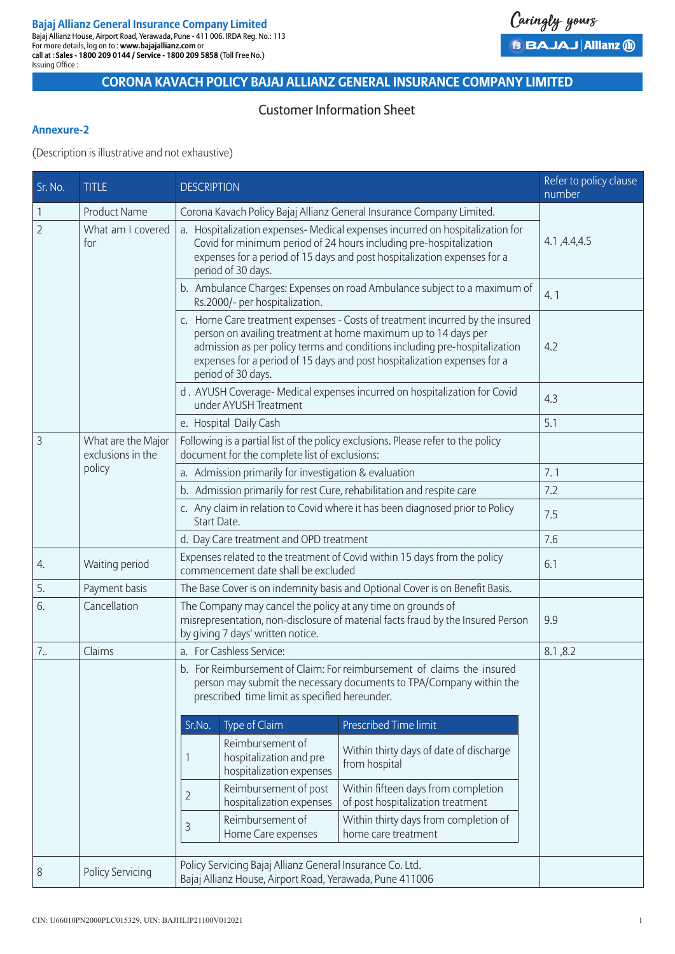# **CORONA KAVACH POLICY BAJAJ ALLIANZ GENERAL INSURANCE COMPANY LIMITED**

Caringly yours

**B BAJAJ Allianz (ii)** 

## Customer Information Sheet

#### **Annexure-2**

(Description is illustrative and not exhaustive)

| Sr. No.        | <b>TITLE</b>                            | <b>DESCRIPTION</b>                                                                                                                                                                                                                                                                                                             | Refer to policy clause<br>number                    |                                                                          |  |
|----------------|-----------------------------------------|--------------------------------------------------------------------------------------------------------------------------------------------------------------------------------------------------------------------------------------------------------------------------------------------------------------------------------|-----------------------------------------------------|--------------------------------------------------------------------------|--|
| $\mathbf{1}$   | <b>Product Name</b>                     | Corona Kavach Policy Bajaj Allianz General Insurance Company Limited.                                                                                                                                                                                                                                                          |                                                     |                                                                          |  |
| $\overline{2}$ | What am I covered<br>for                | a. Hospitalization expenses-Medical expenses incurred on hospitalization for<br>Covid for minimum period of 24 hours including pre-hospitalization<br>expenses for a period of 15 days and post hospitalization expenses for a<br>period of 30 days.                                                                           | 4.1, 4.4, 4.5                                       |                                                                          |  |
|                |                                         | b. Ambulance Charges: Expenses on road Ambulance subject to a maximum of<br>Rs.2000/- per hospitalization.                                                                                                                                                                                                                     | 4.1                                                 |                                                                          |  |
|                |                                         | c. Home Care treatment expenses - Costs of treatment incurred by the insured<br>person on availing treatment at home maximum up to 14 days per<br>admission as per policy terms and conditions including pre-hospitalization<br>expenses for a period of 15 days and post hospitalization expenses for a<br>period of 30 days. | 4.2                                                 |                                                                          |  |
|                |                                         | d. AYUSH Coverage- Medical expenses incurred on hospitalization for Covid<br>under AYUSH Treatment                                                                                                                                                                                                                             | 4.3                                                 |                                                                          |  |
|                |                                         | e. Hospital Daily Cash                                                                                                                                                                                                                                                                                                         | 5.1                                                 |                                                                          |  |
| 3              | What are the Major<br>exclusions in the | Following is a partial list of the policy exclusions. Please refer to the policy<br>document for the complete list of exclusions:                                                                                                                                                                                              |                                                     |                                                                          |  |
|                | policy                                  | a. Admission primarily for investigation & evaluation                                                                                                                                                                                                                                                                          | 7.1                                                 |                                                                          |  |
|                |                                         | b. Admission primarily for rest Cure, rehabilitation and respite care                                                                                                                                                                                                                                                          | 7.2                                                 |                                                                          |  |
|                |                                         | c. Any claim in relation to Covid where it has been diagnosed prior to Policy<br>Start Date.                                                                                                                                                                                                                                   | 7.5                                                 |                                                                          |  |
|                |                                         | d. Day Care treatment and OPD treatment                                                                                                                                                                                                                                                                                        | 7.6                                                 |                                                                          |  |
| 4.             | Waiting period                          | Expenses related to the treatment of Covid within 15 days from the policy<br>commencement date shall be excluded                                                                                                                                                                                                               | 6.1                                                 |                                                                          |  |
| 5.             | Payment basis                           | The Base Cover is on indemnity basis and Optional Cover is on Benefit Basis.                                                                                                                                                                                                                                                   |                                                     |                                                                          |  |
| 6.             | Cancellation                            | The Company may cancel the policy at any time on grounds of<br>misrepresentation, non-disclosure of material facts fraud by the Insured Person<br>by giving 7 days' written notice.                                                                                                                                            | 9.9                                                 |                                                                          |  |
| 7.             | Claims                                  | a. For Cashless Service:                                                                                                                                                                                                                                                                                                       | 8.1, 8.2                                            |                                                                          |  |
|                |                                         | b. For Reimbursement of Claim: For reimbursement of claims the insured<br>person may submit the necessary documents to TPA/Company within the<br>prescribed time limit as specified hereunder.                                                                                                                                 |                                                     |                                                                          |  |
|                |                                         | Type of Claim<br>Sr.No.                                                                                                                                                                                                                                                                                                        |                                                     | <b>Prescribed Time limit</b>                                             |  |
|                |                                         | Reimbursement of<br>1                                                                                                                                                                                                                                                                                                          | hospitalization and pre<br>hospitalization expenses | Within thirty days of date of discharge<br>from hospital                 |  |
|                |                                         | 2                                                                                                                                                                                                                                                                                                                              | Reimbursement of post<br>hospitalization expenses   | Within fifteen days from completion<br>of post hospitalization treatment |  |
|                |                                         | Reimbursement of<br>3<br>Home Care expenses                                                                                                                                                                                                                                                                                    |                                                     | Within thirty days from completion of<br>home care treatment             |  |
| 8              | <b>Policy Servicing</b>                 | Policy Servicing Bajaj Allianz General Insurance Co. Ltd.<br>Bajaj Allianz House, Airport Road, Yerawada, Pune 411006                                                                                                                                                                                                          |                                                     |                                                                          |  |